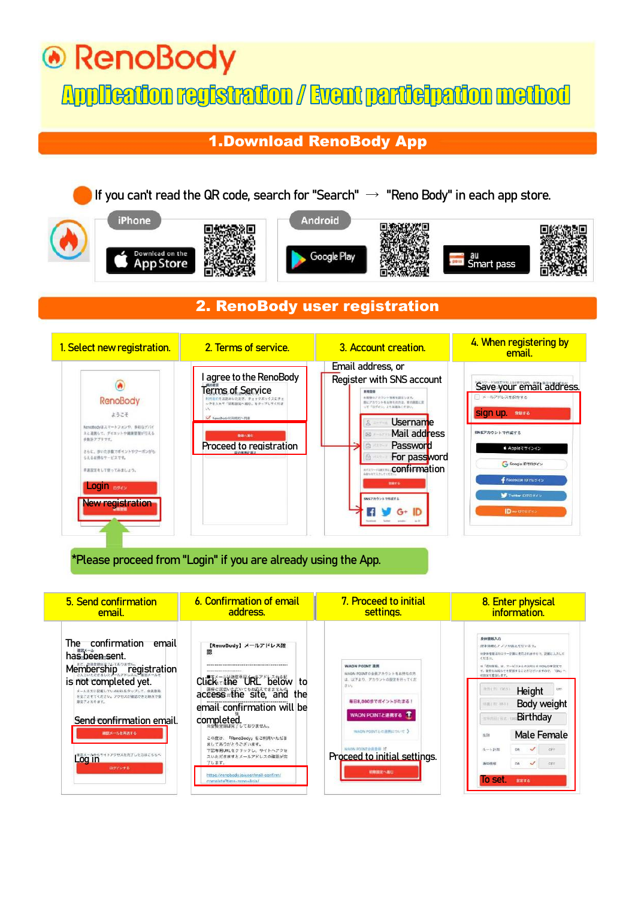# ⊕ RenoBody

## **Application registration / Event participation method**

### 1.Download RenoBody App